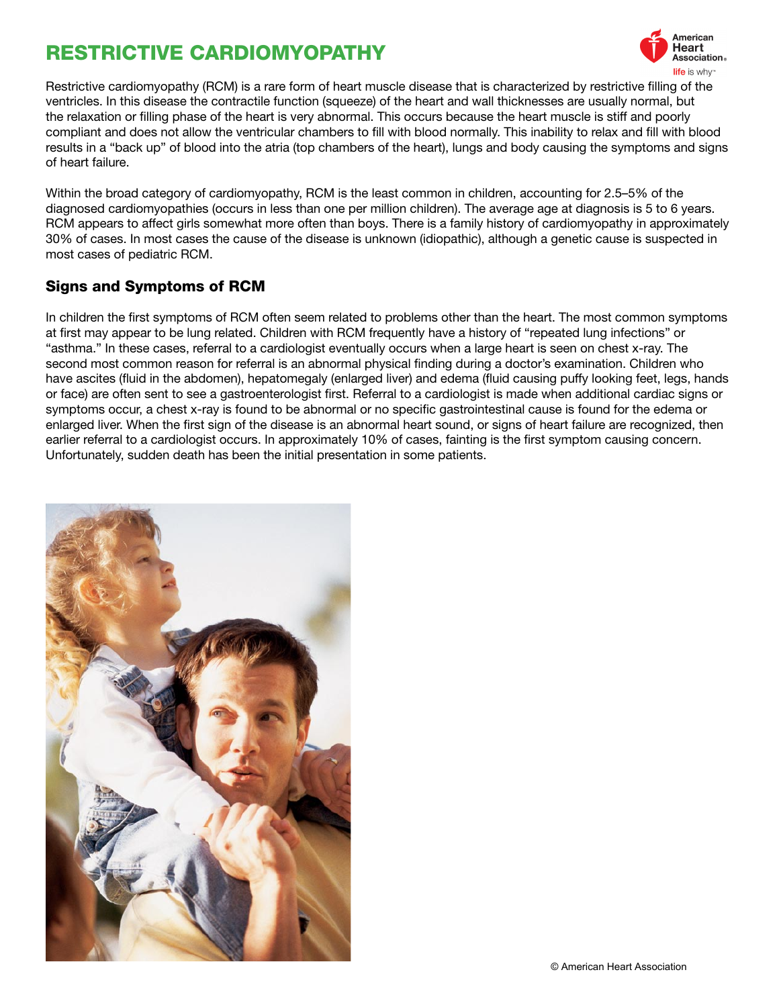# RESTRICTIVE CARDIOMYOPATHY



Restrictive cardiomyopathy (RCM) is a rare form of heart muscle disease that is characterized by restrictive filling of the ventricles. In this disease the contractile function (squeeze) of the heart and wall thicknesses are usually normal, but the relaxation or filling phase of the heart is very abnormal. This occurs because the heart muscle is stiff and poorly compliant and does not allow the ventricular chambers to fill with blood normally. This inability to relax and fill with blood results in a "back up" of blood into the atria (top chambers of the heart), lungs and body causing the symptoms and signs of heart failure.

Within the broad category of cardiomyopathy, RCM is the least common in children, accounting for 2.5–5% of the diagnosed cardiomyopathies (occurs in less than one per million children). The average age at diagnosis is 5 to 6 years. RCM appears to affect girls somewhat more often than boys. There is a family history of cardiomyopathy in approximately 30% of cases. In most cases the cause of the disease is unknown (idiopathic), although a genetic cause is suspected in most cases of pediatric RCM.

## Signs and Symptoms of RCM

In children the first symptoms of RCM often seem related to problems other than the heart. The most common symptoms at first may appear to be lung related. Children with RCM frequently have a history of "repeated lung infections" or "asthma." In these cases, referral to a cardiologist eventually occurs when a large heart is seen on chest x-ray. The second most common reason for referral is an abnormal physical finding during a doctor's examination. Children who have ascites (fluid in the abdomen), hepatomegaly (enlarged liver) and edema (fluid causing puffy looking feet, legs, hands or face) are often sent to see a gastroenterologist first. Referral to a cardiologist is made when additional cardiac signs or symptoms occur, a chest x-ray is found to be abnormal or no specific gastrointestinal cause is found for the edema or enlarged liver. When the first sign of the disease is an abnormal heart sound, or signs of heart failure are recognized, then earlier referral to a cardiologist occurs. In approximately 10% of cases, fainting is the first symptom causing concern. Unfortunately, sudden death has been the initial presentation in some patients.

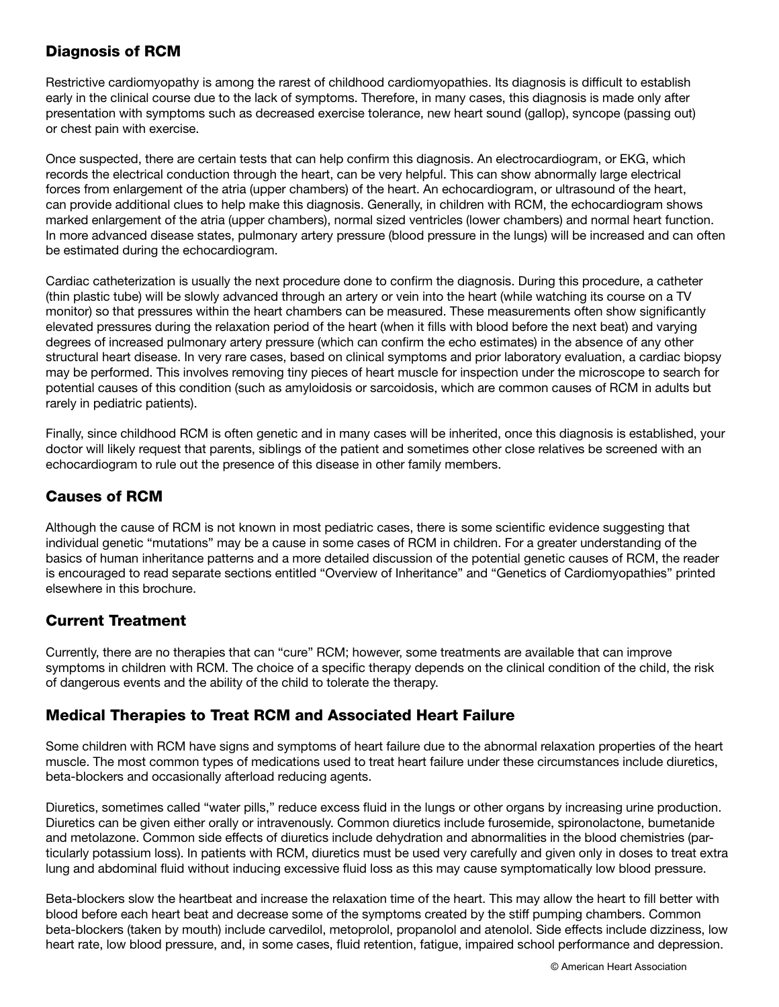## Diagnosis of RCM

Restrictive cardiomyopathy is among the rarest of childhood cardiomyopathies. Its diagnosis is difficult to establish early in the clinical course due to the lack of symptoms. Therefore, in many cases, this diagnosis is made only after presentation with symptoms such as decreased exercise tolerance, new heart sound (gallop), syncope (passing out) or chest pain with exercise.

Once suspected, there are certain tests that can help confirm this diagnosis. An electrocardiogram, or EKG, which records the electrical conduction through the heart, can be very helpful. This can show abnormally large electrical forces from enlargement of the atria (upper chambers) of the heart. An echocardiogram, or ultrasound of the heart, can provide additional clues to help make this diagnosis. Generally, in children with RCM, the echocardiogram shows marked enlargement of the atria (upper chambers), normal sized ventricles (lower chambers) and normal heart function. In more advanced disease states, pulmonary artery pressure (blood pressure in the lungs) will be increased and can often be estimated during the echocardiogram.

Cardiac catheterization is usually the next procedure done to confirm the diagnosis. During this procedure, a catheter (thin plastic tube) will be slowly advanced through an artery or vein into the heart (while watching its course on a TV monitor) so that pressures within the heart chambers can be measured. These measurements often show significantly elevated pressures during the relaxation period of the heart (when it fills with blood before the next beat) and varying degrees of increased pulmonary artery pressure (which can confirm the echo estimates) in the absence of any other structural heart disease. In very rare cases, based on clinical symptoms and prior laboratory evaluation, a cardiac biopsy may be performed. This involves removing tiny pieces of heart muscle for inspection under the microscope to search for potential causes of this condition (such as amyloidosis or sarcoidosis, which are common causes of RCM in adults but rarely in pediatric patients).

Finally, since childhood RCM is often genetic and in many cases will be inherited, once this diagnosis is established, your doctor will likely request that parents, siblings of the patient and sometimes other close relatives be screened with an echocardiogram to rule out the presence of this disease in other family members.

## Causes of RCM

Although the cause of RCM is not known in most pediatric cases, there is some scientific evidence suggesting that individual genetic "mutations" may be a cause in some cases of RCM in children. For a greater understanding of the basics of human inheritance patterns and a more detailed discussion of the potential genetic causes of RCM, the reader is encouraged to read separate sections entitled "Overview of Inheritance" and "Genetics of Cardiomyopathies" printed elsewhere in this brochure.

# Current Treatment

Currently, there are no therapies that can "cure" RCM; however, some treatments are available that can improve symptoms in children with RCM. The choice of a specific therapy depends on the clinical condition of the child, the risk of dangerous events and the ability of the child to tolerate the therapy.

#### Medical Therapies to Treat RCM and Associated Heart Failure

Some children with RCM have signs and symptoms of heart failure due to the abnormal relaxation properties of the heart muscle. The most common types of medications used to treat heart failure under these circumstances include diuretics, beta-blockers and occasionally afterload reducing agents.

Diuretics, sometimes called "water pills," reduce excess fluid in the lungs or other organs by increasing urine production. Diuretics can be given either orally or intravenously. Common diuretics include furosemide, spironolactone, bumetanide and metolazone. Common side effects of diuretics include dehydration and abnormalities in the blood chemistries (particularly potassium loss). In patients with RCM, diuretics must be used very carefully and given only in doses to treat extra lung and abdominal fluid without inducing excessive fluid loss as this may cause symptomatically low blood pressure.

Beta-blockers slow the heartbeat and increase the relaxation time of the heart. This may allow the heart to fill better with blood before each heart beat and decrease some of the symptoms created by the stiff pumping chambers. Common beta-blockers (taken by mouth) include carvedilol, metoprolol, propanolol and atenolol. Side effects include dizziness, low heart rate, low blood pressure, and, in some cases, fluid retention, fatigue, impaired school performance and depression.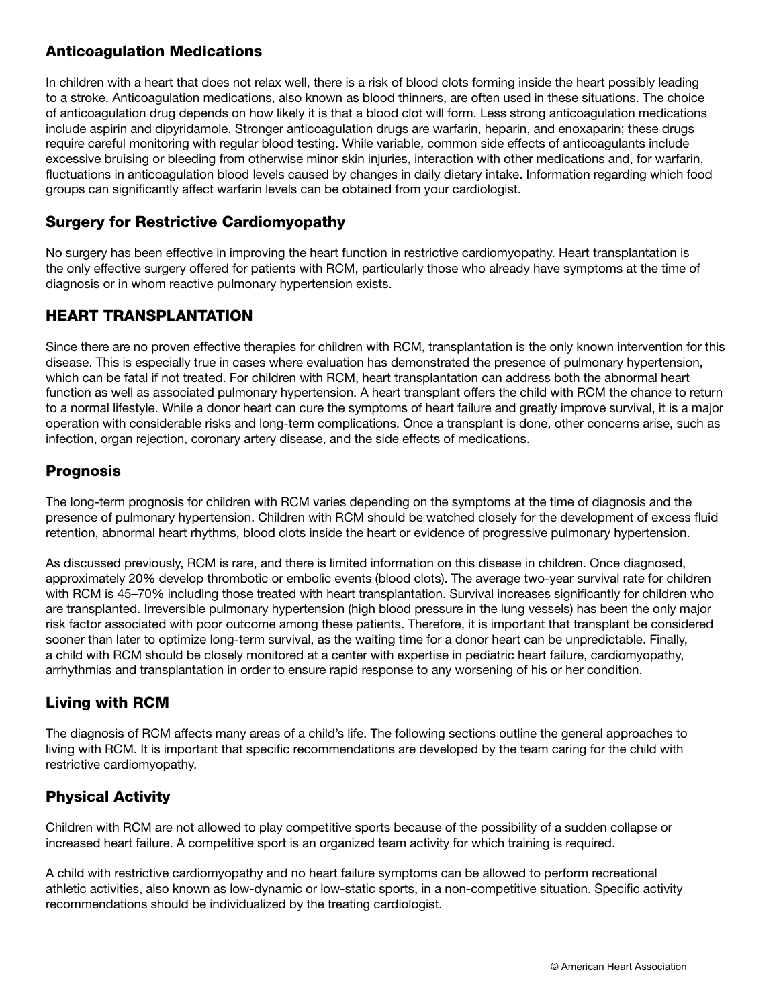## Anticoagulation Medications

In children with a heart that does not relax well, there is a risk of blood clots forming inside the heart possibly leading to a stroke. Anticoagulation medications, also known as blood thinners, are often used in these situations. The choice of anticoagulation drug depends on how likely it is that a blood clot will form. Less strong anticoagulation medications include aspirin and dipyridamole. Stronger anticoagulation drugs are warfarin, heparin, and enoxaparin; these drugs require careful monitoring with regular blood testing. While variable, common side effects of anticoagulants include excessive bruising or bleeding from otherwise minor skin injuries, interaction with other medications and, for warfarin, fluctuations in anticoagulation blood levels caused by changes in daily dietary intake. Information regarding which food groups can significantly affect warfarin levels can be obtained from your cardiologist.

## Surgery for Restrictive Cardiomyopathy

No surgery has been effective in improving the heart function in restrictive cardiomyopathy. Heart transplantation is the only effective surgery offered for patients with RCM, particularly those who already have symptoms at the time of diagnosis or in whom reactive pulmonary hypertension exists.

# HEART TRANSPLANTATION

Since there are no proven effective therapies for children with RCM, transplantation is the only known intervention for this disease. This is especially true in cases where evaluation has demonstrated the presence of pulmonary hypertension, which can be fatal if not treated. For children with RCM, heart transplantation can address both the abnormal heart function as well as associated pulmonary hypertension. A heart transplant offers the child with RCM the chance to return to a normal lifestyle. While a donor heart can cure the symptoms of heart failure and greatly improve survival, it is a major operation with considerable risks and long-term complications. Once a transplant is done, other concerns arise, such as infection, organ rejection, coronary artery disease, and the side effects of medications.

#### Prognosis

The long-term prognosis for children with RCM varies depending on the symptoms at the time of diagnosis and the presence of pulmonary hypertension. Children with RCM should be watched closely for the development of excess fluid retention, abnormal heart rhythms, blood clots inside the heart or evidence of progressive pulmonary hypertension.

As discussed previously, RCM is rare, and there is limited information on this disease in children. Once diagnosed, approximately 20% develop thrombotic or embolic events (blood clots). The average two-year survival rate for children with RCM is 45–70% including those treated with heart transplantation. Survival increases significantly for children who are transplanted. Irreversible pulmonary hypertension (high blood pressure in the lung vessels) has been the only major risk factor associated with poor outcome among these patients. Therefore, it is important that transplant be considered sooner than later to optimize long-term survival, as the waiting time for a donor heart can be unpredictable. Finally, a child with RCM should be closely monitored at a center with expertise in pediatric heart failure, cardiomyopathy, arrhythmias and transplantation in order to ensure rapid response to any worsening of his or her condition.

# Living with RCM

The diagnosis of RCM affects many areas of a child's life. The following sections outline the general approaches to living with RCM. It is important that specific recommendations are developed by the team caring for the child with restrictive cardiomyopathy.

# Physical Activity

Children with RCM are not allowed to play competitive sports because of the possibility of a sudden collapse or increased heart failure. A competitive sport is an organized team activity for which training is required.

A child with restrictive cardiomyopathy and no heart failure symptoms can be allowed to perform recreational athletic activities, also known as low-dynamic or low-static sports, in a non-competitive situation. Specific activity recommendations should be individualized by the treating cardiologist.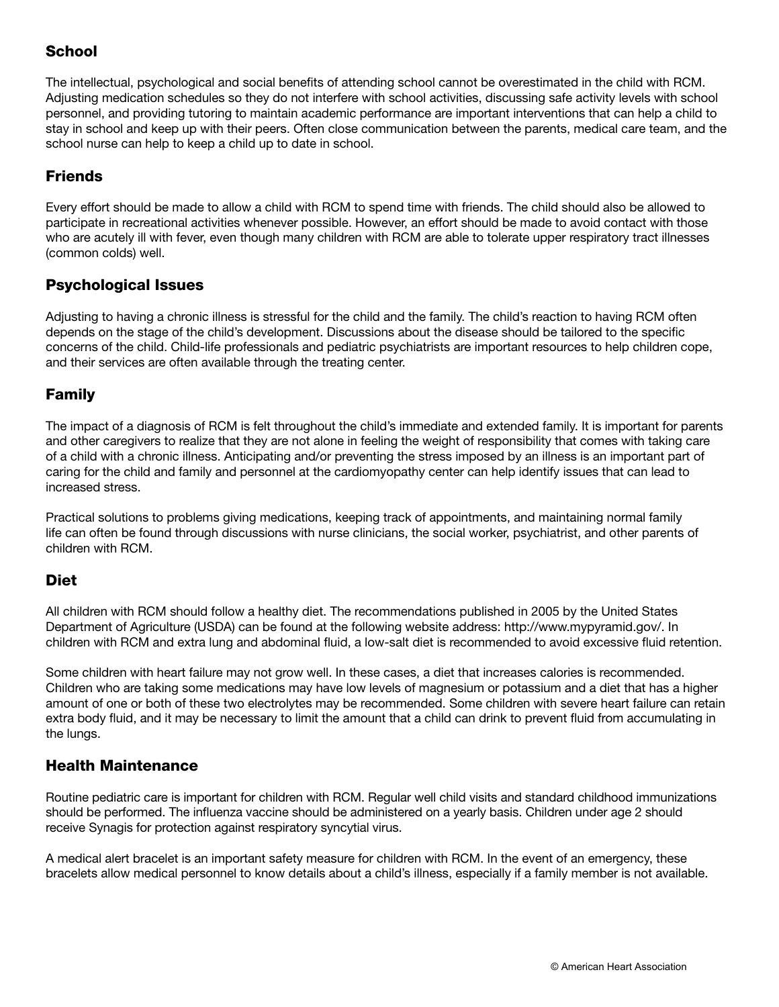## **School**

The intellectual, psychological and social benefits of attending school cannot be overestimated in the child with RCM. Adjusting medication schedules so they do not interfere with school activities, discussing safe activity levels with school personnel, and providing tutoring to maintain academic performance are important interventions that can help a child to stay in school and keep up with their peers. Often close communication between the parents, medical care team, and the school nurse can help to keep a child up to date in school.

# **Friends**

Every effort should be made to allow a child with RCM to spend time with friends. The child should also be allowed to participate in recreational activities whenever possible. However, an effort should be made to avoid contact with those who are acutely ill with fever, even though many children with RCM are able to tolerate upper respiratory tract illnesses (common colds) well.

#### Psychological Issues

Adjusting to having a chronic illness is stressful for the child and the family. The child's reaction to having RCM often depends on the stage of the child's development. Discussions about the disease should be tailored to the specific concerns of the child. Child-life professionals and pediatric psychiatrists are important resources to help children cope, and their services are often available through the treating center.

#### Family

The impact of a diagnosis of RCM is felt throughout the child's immediate and extended family. It is important for parents and other caregivers to realize that they are not alone in feeling the weight of responsibility that comes with taking care of a child with a chronic illness. Anticipating and/or preventing the stress imposed by an illness is an important part of caring for the child and family and personnel at the cardiomyopathy center can help identify issues that can lead to increased stress.

Practical solutions to problems giving medications, keeping track of appointments, and maintaining normal family life can often be found through discussions with nurse clinicians, the social worker, psychiatrist, and other parents of children with RCM.

#### Diet

All children with RCM should follow a healthy diet. The recommendations published in 2005 by the United States Department of Agriculture (USDA) can be found at the following website address: http://www.mypyramid.gov/. In children with RCM and extra lung and abdominal fluid, a low-salt diet is recommended to avoid excessive fluid retention.

Some children with heart failure may not grow well. In these cases, a diet that increases calories is recommended. Children who are taking some medications may have low levels of magnesium or potassium and a diet that has a higher amount of one or both of these two electrolytes may be recommended. Some children with severe heart failure can retain extra body fluid, and it may be necessary to limit the amount that a child can drink to prevent fluid from accumulating in the lungs.

#### Health Maintenance

Routine pediatric care is important for children with RCM. Regular well child visits and standard childhood immunizations should be performed. The influenza vaccine should be administered on a yearly basis. Children under age 2 should receive Synagis for protection against respiratory syncytial virus.

A medical alert bracelet is an important safety measure for children with RCM. In the event of an emergency, these bracelets allow medical personnel to know details about a child's illness, especially if a family member is not available.